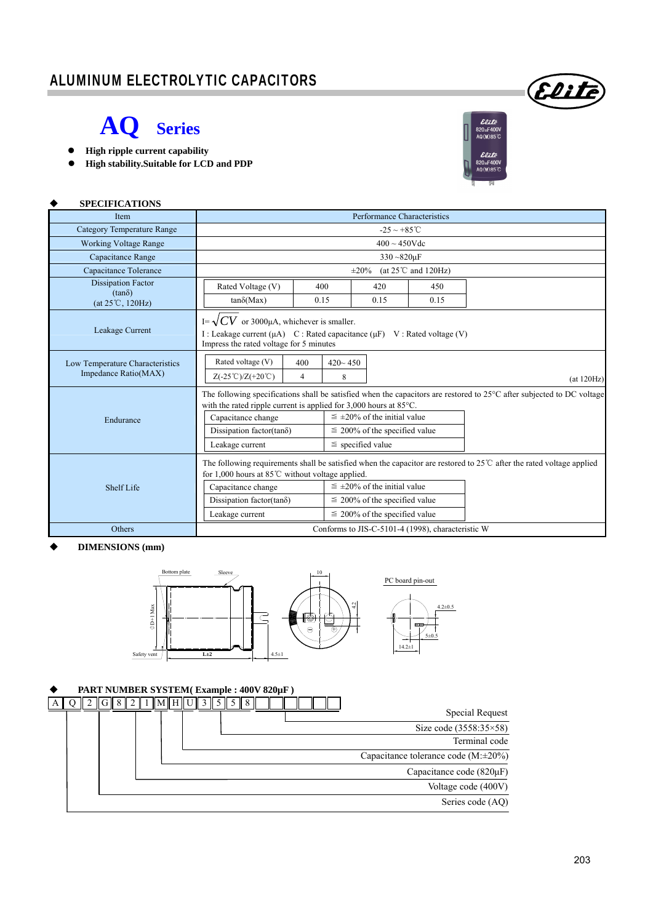## ALUMINUM ELECTROLYTIC CAPACITORS

## **AQ Series**

- **High ripple current capability**
- **High stability.Suitable for LCD and PDP**



Elite

| <b>SPECIFICATIONS</b>                                   |                                                                                                                                                                                                                                                                                                                                                                                     |                       |                  |                                                                                                                  |      |                                                                                                                               |  |  |  |
|---------------------------------------------------------|-------------------------------------------------------------------------------------------------------------------------------------------------------------------------------------------------------------------------------------------------------------------------------------------------------------------------------------------------------------------------------------|-----------------------|------------------|------------------------------------------------------------------------------------------------------------------|------|-------------------------------------------------------------------------------------------------------------------------------|--|--|--|
| Item                                                    | Performance Characteristics                                                                                                                                                                                                                                                                                                                                                         |                       |                  |                                                                                                                  |      |                                                                                                                               |  |  |  |
| <b>Category Temperature Range</b>                       | $-25 \sim +85^{\circ}$ C                                                                                                                                                                                                                                                                                                                                                            |                       |                  |                                                                                                                  |      |                                                                                                                               |  |  |  |
| <b>Working Voltage Range</b>                            | $400 \sim 450$ Vdc                                                                                                                                                                                                                                                                                                                                                                  |                       |                  |                                                                                                                  |      |                                                                                                                               |  |  |  |
| Capacitance Range                                       | $330 - 820 \mu F$                                                                                                                                                                                                                                                                                                                                                                   |                       |                  |                                                                                                                  |      |                                                                                                                               |  |  |  |
| Capacitance Tolerance                                   | (at $25^{\circ}$ C and $120$ Hz)<br>$\pm 20\%$                                                                                                                                                                                                                                                                                                                                      |                       |                  |                                                                                                                  |      |                                                                                                                               |  |  |  |
| <b>Dissipation Factor</b>                               | Rated Voltage (V)                                                                                                                                                                                                                                                                                                                                                                   | 400                   |                  | 420                                                                                                              | 450  |                                                                                                                               |  |  |  |
| $(tan\delta)$<br>$(at 25^{\circ}C, 120Hz)$              | $tan\delta(Max)$                                                                                                                                                                                                                                                                                                                                                                    | 0.15                  |                  | 0.15                                                                                                             | 0.15 |                                                                                                                               |  |  |  |
| Leakage Current                                         | I= $\sqrt{CV}$ or 3000µA, whichever is smaller.<br>I: Leakage current $(\mu A)$ C: Rated capacitance $(\mu F)$ V: Rated voltage (V)<br>Impress the rated voltage for 5 minutes                                                                                                                                                                                                      |                       |                  |                                                                                                                  |      |                                                                                                                               |  |  |  |
| Low Temperature Characteristics<br>Impedance Ratio(MAX) | Rated voltage (V)<br>$Z(-25^{\circ}\text{C})/Z(+20^{\circ}\text{C})$                                                                                                                                                                                                                                                                                                                | 400<br>$\overline{4}$ | $420 - 450$<br>8 |                                                                                                                  |      | (at 120Hz)                                                                                                                    |  |  |  |
| Endurance                                               | The following specifications shall be satisfied when the capacitors are restored to 25°C after subjected to DC voltage<br>with the rated ripple current is applied for $3,000$ hours at $85^{\circ}$ C.<br>$\leq \pm 20\%$ of the initial value<br>Capacitance change<br>Dissipation factor(tanõ)<br>$\leq$ 200% of the specified value<br>$\le$ specified value<br>Leakage current |                       |                  |                                                                                                                  |      |                                                                                                                               |  |  |  |
| Shelf Life                                              | for 1,000 hours at $85^{\circ}$ C without voltage applied.<br>Capacitance change<br>Dissipation factor(tan $\delta$ )<br>Leakage current                                                                                                                                                                                                                                            |                       |                  | $\leq \pm 20\%$ of the initial value<br>$\leq$ 200% of the specified value<br>$\leq$ 200% of the specified value |      | The following requirements shall be satisfied when the capacitor are restored to $25^{\circ}$ after the rated voltage applied |  |  |  |
| Others                                                  | Conforms to JIS-C-5101-4 (1998), characteristic W                                                                                                                                                                                                                                                                                                                                   |                       |                  |                                                                                                                  |      |                                                                                                                               |  |  |  |

#### **DIMENSIONS (mm)**



### **PART NUMBER SYSTEM( Example : 400V 820µF )**